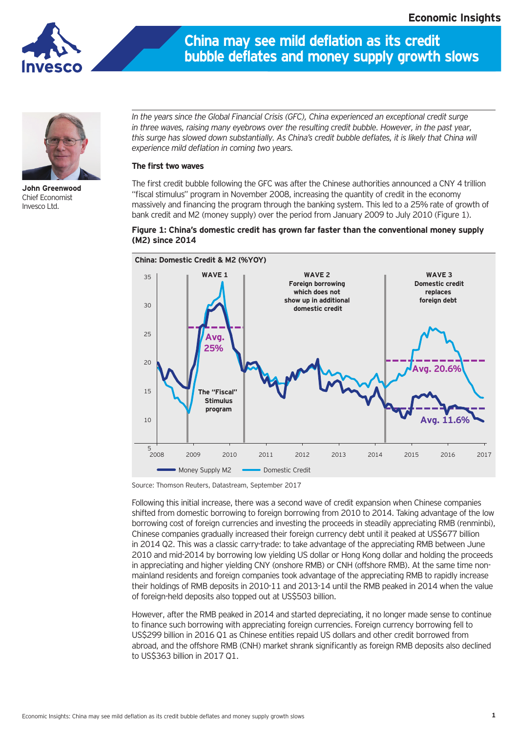

## **China may see mild deflation as its credit bubble deflates and money supply growth slows**



**John Greenwood** Chief Economist Invesco Ltd.

*In the years since the Global Financial Crisis (GFC), China experienced an exceptional credit surge*  in three waves, raising many eyebrows over the resulting credit bubble. However, in the past year, *this surge has slowed down substantially. As China's credit bubble deflates, it is likely that China will experience mild deflation in coming two years.*

## **The first two waves**

The first credit bubble following the GFC was after the Chinese authorities announced a CNY 4 trillion "fiscal stimulus" program in November 2008, increasing the quantity of credit in the economy massively and financing the program through the banking system. This led to a 25% rate of growth of bank credit and M2 (money supply) over the period from January 2009 to July 2010 (Figure 1).





Source: Thomson Reuters, Datastream, September 2017

Following this initial increase, there was a second wave of credit expansion when Chinese companies shifted from domestic borrowing to foreign borrowing from 2010 to 2014. Taking advantage of the low borrowing cost of foreign currencies and investing the proceeds in steadily appreciating RMB (renminbi), Chinese companies gradually increased their foreign currency debt until it peaked at US\$677 billion in 2014 Q2. This was a classic carry-trade: to take advantage of the appreciating RMB between June 2010 and mid-2014 by borrowing low yielding US dollar or Hong Kong dollar and holding the proceeds in appreciating and higher yielding CNY (onshore RMB) or CNH (offshore RMB). At the same time nonmainland residents and foreign companies took advantage of the appreciating RMB to rapidly increase their holdings of RMB deposits in 2010-11 and 2013-14 until the RMB peaked in 2014 when the value of foreign-held deposits also topped out at US\$503 billion.

However, after the RMB peaked in 2014 and started depreciating, it no longer made sense to continue to finance such borrowing with appreciating foreign currencies. Foreign currency borrowing fell to US\$299 billion in 2016 Q1 as Chinese entities repaid US dollars and other credit borrowed from abroad, and the offshore RMB (CNH) market shrank significantly as foreign RMB deposits also declined to US\$363 billion in 2017 Q1.